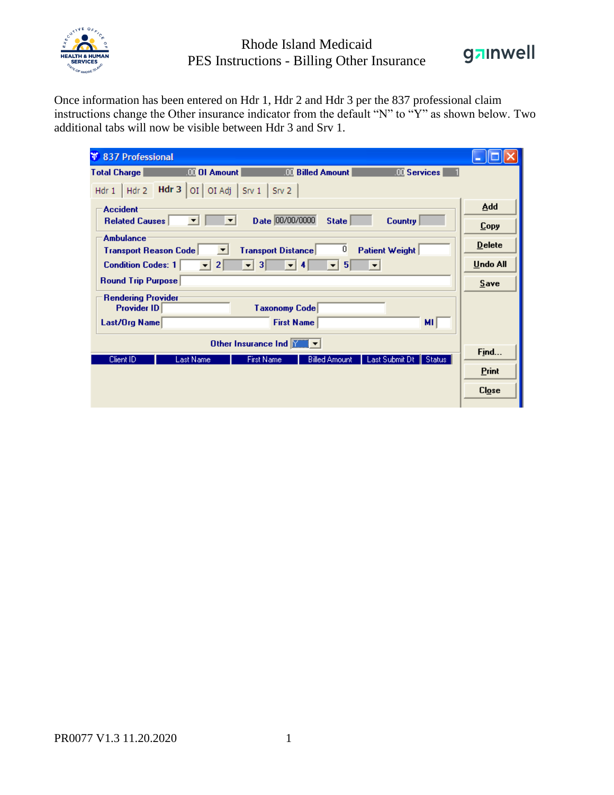

## Rhode Island Medicaid PES Instructions - Billing Other Insurance



Once information has been entered on Hdr 1, Hdr 2 and Hdr 3 per the 837 professional claim instructions change the Other insurance indicator from the default "N" to "Y" as shown below. Two additional tabs will now be visible between Hdr 3 and Srv 1.

| <b>¥ 837 Professional</b>                                                                                                |               |
|--------------------------------------------------------------------------------------------------------------------------|---------------|
| <b>OLOI Amount</b><br><b>III</b> Billed Amount<br><b>W</b> Services<br><b>Total Charge</b>                               |               |
| <b>Hdr</b> 3   OI   OI Adj   Srv 1   Srv 2<br>$Hdr 1$ $Hdr 2$                                                            |               |
| <b>Accident</b>                                                                                                          | Add           |
| Date 00/00/0000<br><b>State</b><br><b>Country</b><br><b>Related Causes</b><br>▼<br>▼                                     | Copy          |
| <b>Ambulance</b><br>$\overline{0}$<br><b>Patient Weight</b><br><b>Transport Distance</b><br><b>Transport Reason Code</b> | <b>Delete</b> |
| $\overline{2}$<br><b>Condition Codes: 1</b><br>5<br>з<br>4<br>$\overline{\phantom{a}}$<br>▼                              | Undo All      |
| <b>Round Trip Purpose</b>                                                                                                | $S$ ave       |
| <b>Rendering Provider</b><br><b>Provider ID</b><br><b>Taxonomy Code</b>                                                  |               |
| <b>First Name</b><br>MI.<br>Last/Org Name                                                                                |               |
| Other Insurance Ind <b>WILLE</b> v                                                                                       |               |
| Last Submit Dt<br><b>Last Name</b><br><b>Billed Amount</b><br>Client ID<br><b>First Name</b><br>Status                   | Find          |
|                                                                                                                          | <b>Print</b>  |
|                                                                                                                          | Close         |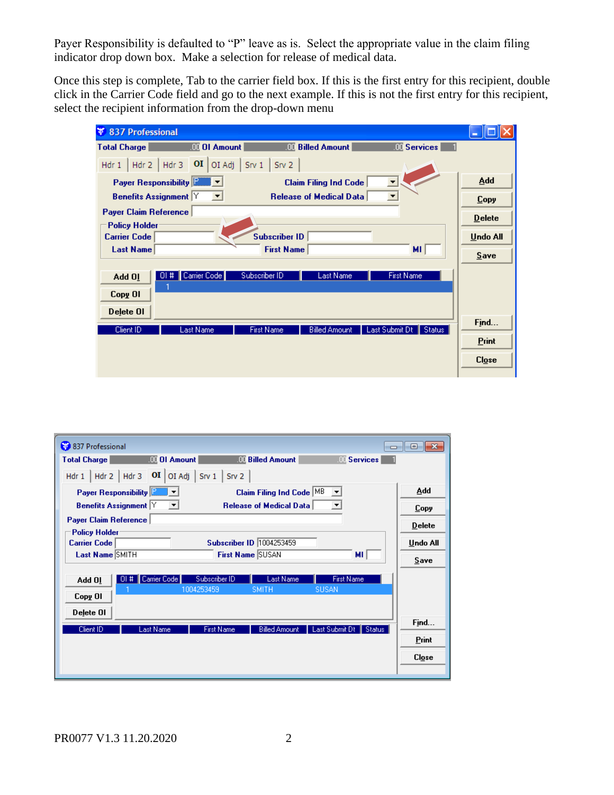Payer Responsibility is defaulted to "P" leave as is. Select the appropriate value in the claim filing indicator drop down box. Make a selection for release of medical data.

Once this step is complete, Tab to the carrier field box. If this is the first entry for this recipient, double click in the Carrier Code field and go to the next example. If this is not the first entry for this recipient, select the recipient information from the drop-down menu

| <b>QUI Amount</b><br><b>III</b> Billed Amount<br><b>III</b> Services<br><b>Total Charge</b><br>Hdr 2   Hdr 3   $\overline{OI}$   OI Adj   Srv 1   Srv 2<br>Hdr 1<br>Add<br>Payer Responsibility File<br><b>Claim Filing Ind Code</b><br><b>Benefits Assignment</b> Y<br><b>Release of Medical Data</b><br>$\blacktriangledown$<br>≖<br><b>Copy</b><br><b>Payer Claim Reference</b><br><b>Delete</b><br><b>Policy Holder</b><br><b>Subscriber ID</b><br><b>Carrier Code</b><br><b>Undo All</b><br><b>First Name</b><br>MI.<br><b>Last Name</b><br>Save<br>Carrier Code<br>Subscriber ID<br><b>First Name</b><br>Last Name<br>01#<br>Add 01<br>Copy OI<br>Delete OI<br>Find<br>Client ID<br>Last Submit Dt<br><b>Last Name</b><br><b>First Name</b><br><b>Billed Amount</b><br>Status:<br><b>Print</b><br>Close | ¥.<br>837 Professional |  |
|---------------------------------------------------------------------------------------------------------------------------------------------------------------------------------------------------------------------------------------------------------------------------------------------------------------------------------------------------------------------------------------------------------------------------------------------------------------------------------------------------------------------------------------------------------------------------------------------------------------------------------------------------------------------------------------------------------------------------------------------------------------------------------------------------------------|------------------------|--|
|                                                                                                                                                                                                                                                                                                                                                                                                                                                                                                                                                                                                                                                                                                                                                                                                               |                        |  |
|                                                                                                                                                                                                                                                                                                                                                                                                                                                                                                                                                                                                                                                                                                                                                                                                               |                        |  |
|                                                                                                                                                                                                                                                                                                                                                                                                                                                                                                                                                                                                                                                                                                                                                                                                               |                        |  |
|                                                                                                                                                                                                                                                                                                                                                                                                                                                                                                                                                                                                                                                                                                                                                                                                               |                        |  |
|                                                                                                                                                                                                                                                                                                                                                                                                                                                                                                                                                                                                                                                                                                                                                                                                               |                        |  |
|                                                                                                                                                                                                                                                                                                                                                                                                                                                                                                                                                                                                                                                                                                                                                                                                               |                        |  |
|                                                                                                                                                                                                                                                                                                                                                                                                                                                                                                                                                                                                                                                                                                                                                                                                               |                        |  |
|                                                                                                                                                                                                                                                                                                                                                                                                                                                                                                                                                                                                                                                                                                                                                                                                               |                        |  |
|                                                                                                                                                                                                                                                                                                                                                                                                                                                                                                                                                                                                                                                                                                                                                                                                               |                        |  |
|                                                                                                                                                                                                                                                                                                                                                                                                                                                                                                                                                                                                                                                                                                                                                                                                               |                        |  |
|                                                                                                                                                                                                                                                                                                                                                                                                                                                                                                                                                                                                                                                                                                                                                                                                               |                        |  |

| 837 Professional                                                                                      | $\begin{array}{c c c c c c} \hline \multicolumn{3}{c }{\mathbf{C}} & \multicolumn{3}{c }{\mathbf{C}} & \multicolumn{3}{c }{\mathbf{X}} \end{array}$ |
|-------------------------------------------------------------------------------------------------------|-----------------------------------------------------------------------------------------------------------------------------------------------------|
| <b>IDE</b> Billed Amount<br><b>Total Charge</b><br><b>III</b> OI Amount<br><b>UL</b> Services         |                                                                                                                                                     |
| Hdr 1   Hdr 2   Hdr 3   $OI$   OI Adj   Srv 1   Srv 2                                                 |                                                                                                                                                     |
| Payer Responsibility<br>Claim Filing Ind Code MB<br>▼                                                 | Add                                                                                                                                                 |
| <b>Benefits Assignment</b> Y<br><b>Release of Medical Data</b><br>- ⊡<br>▼                            | Copy                                                                                                                                                |
| <b>Payer Claim Reference</b>                                                                          | <b>Delete</b>                                                                                                                                       |
| <b>Policy Holder</b><br><b>Subscriber ID 1004253459</b><br><b>Carrier Code</b>                        | Undo All                                                                                                                                            |
| First Name SUSAN<br>Last Name SMITH<br>MI.                                                            | Save                                                                                                                                                |
| Subscriber ID<br>01#   Carrier Code  <br><b>Last Name</b><br><b>First Name</b><br>Add 01              |                                                                                                                                                     |
| 1004253459<br><b>SUSAN</b><br><b>SMITH</b><br>Copy OI                                                 |                                                                                                                                                     |
| Delete OI                                                                                             |                                                                                                                                                     |
| Client ID<br><b>Last Name</b><br>Last Submit Dt   Status<br><b>First Name</b><br><b>Billed Amount</b> | Find                                                                                                                                                |
|                                                                                                       | Print                                                                                                                                               |
|                                                                                                       | C <i>lose</i>                                                                                                                                       |
|                                                                                                       |                                                                                                                                                     |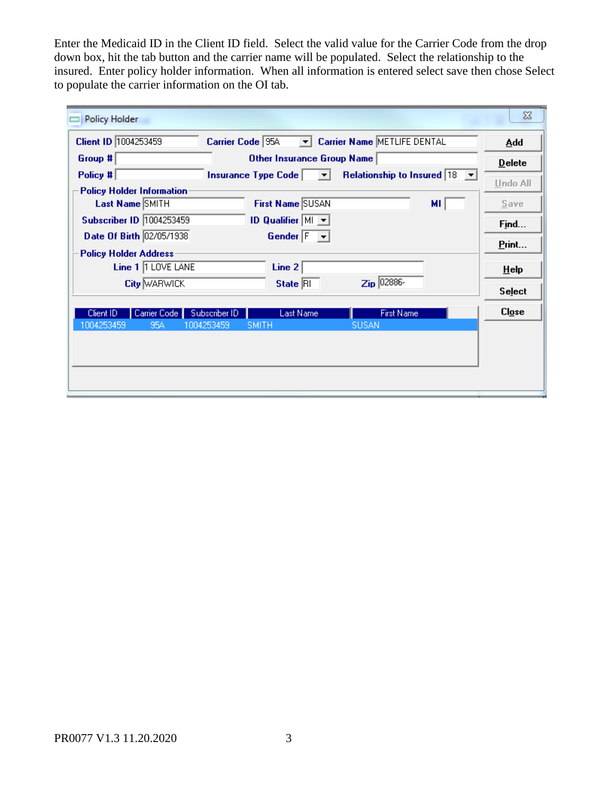Enter the Medicaid ID in the Client ID field. Select the valid value for the Carrier Code from the drop down box, hit the tab button and the carrier name will be populated. Select the relationship to the insured. Enter policy holder information. When all information is entered select save then chose Select to populate the carrier information on the OI tab.

| Policy Holder                                                                                          | $\Sigma$      |
|--------------------------------------------------------------------------------------------------------|---------------|
| Client ID 1004253459<br><b>Carrier Name METLIFE DENTAL</b><br>Carrier Code 95A<br>▾▏                   | Add           |
| Group #<br>Other Insurance Group Name                                                                  | <b>Delete</b> |
| Relationship to Insured $ 18 \rightharpoonup $<br>Policy #<br>Insurance Type Code $\boxed{\mathbf{v}}$ | Undo All      |
| <b>Policy Holder Information:</b>                                                                      |               |
| First Name SUSAN<br><b>Last Name SMITH</b><br>MI.                                                      | Save          |
| Subscriber ID 1004253459<br><b>ID Qualifier <math>\vert</math> MI</b> $\vert \mathbf{v} \vert$         | Find          |
| Date Of Birth 02/05/1938<br>Gender F<br>$\mathbf{v}$                                                   |               |
| <b>Policy Holder Address:</b>                                                                          | Print         |
| Line 1 1 LOVE LANE<br>Line $2$                                                                         | HeIp          |
| $\mathsf{Zip}$ 02886-<br>State RI<br><b>City WARWICK</b>                                               |               |
|                                                                                                        | <b>Select</b> |
| <b>First Name</b><br>Subscriber ID<br><b>Last Name</b><br>Carrier Code<br>Client ID                    | C <i>log</i>  |
| 1004253459<br>95A<br>1004253459<br><b>SMITH</b><br><b>SUSAN</b>                                        |               |
|                                                                                                        |               |
|                                                                                                        |               |
|                                                                                                        |               |
|                                                                                                        |               |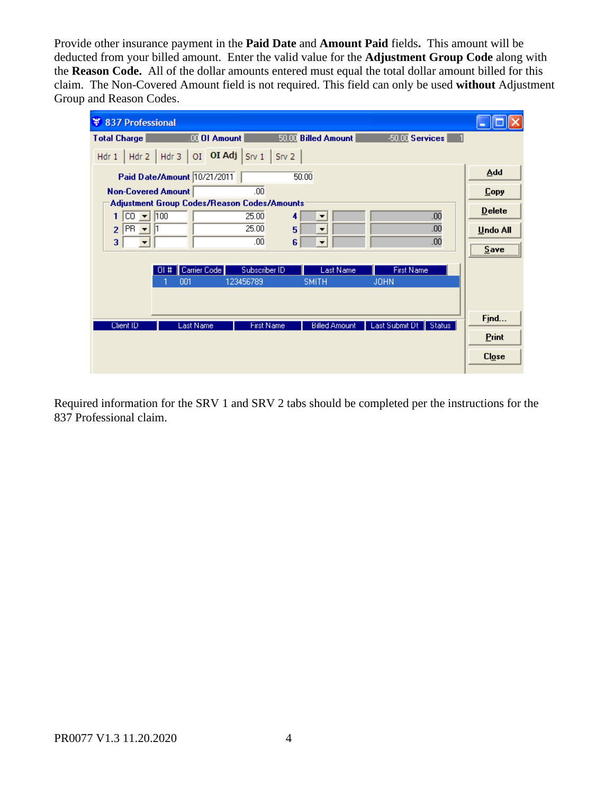Provide other insurance payment in the **Paid Date** and **Amount Paid** fields**.** This amount will be deducted from your billed amount. Enter the valid value for the **Adjustment Group Code** along with the **Reason Code.** All of the dollar amounts entered must equal the total dollar amount billed for this claim. The Non-Covered Amount field is not required. This field can only be used **without** Adjustment Group and Reason Codes.

| <b>837 Professional</b><br>¥                                                                     |                                                       |                          |                              |
|--------------------------------------------------------------------------------------------------|-------------------------------------------------------|--------------------------|------------------------------|
| <b>OI</b> OI Amount<br><b>Total Charge</b>                                                       | 50.00 Billed Amount                                   | 50.00 Services           |                              |
| Hdr 2   Hdr 3   OI OI Adj   Srv 1   Srv 2<br>Hdr <sub>1</sub>                                    |                                                       |                          |                              |
| Paid Date/Amount 10/21/2011                                                                      | 50.00                                                 |                          | Add                          |
| <b>Non-Covered Amount</b>                                                                        | .00 <sub>1</sub>                                      |                          | <b>Copy</b>                  |
| Adjustment Group Codes/Reason Codes/Amounts                                                      |                                                       |                          | <b>Delete</b>                |
| CO.<br>100<br>1.<br>$\overline{\mathbf{v}}$<br>PR.<br>$\overline{2}$<br>$\overline{\phantom{a}}$ | 25.00<br>4<br>▼<br>25.00<br>5<br>$\blacktriangledown$ | .00<br>.00               |                              |
| 3                                                                                                | .00<br>6<br>$\blacktriangledown$                      | .00                      | <b>Undo All</b><br>          |
|                                                                                                  |                                                       |                          | Save<br><u> :<del></del></u> |
| Carrier Code<br>#<br>ΠI                                                                          | <b>Last Name</b><br>Subscriber ID                     | <b>First Name</b>        |                              |
| 001                                                                                              | 123456789<br><b>SMITH</b>                             | <b>JOHN</b>              |                              |
|                                                                                                  |                                                       |                          |                              |
| <b>Last Name</b>                                                                                 |                                                       | Last Submit Dt<br>Status | Find                         |
| Client ID                                                                                        | <b>First Name</b><br><b>Billed Amount</b>             |                          | Print                        |
|                                                                                                  |                                                       |                          | <b>Close</b>                 |
|                                                                                                  |                                                       |                          |                              |

Required information for the SRV 1 and SRV 2 tabs should be completed per the instructions for the 837 Professional claim.